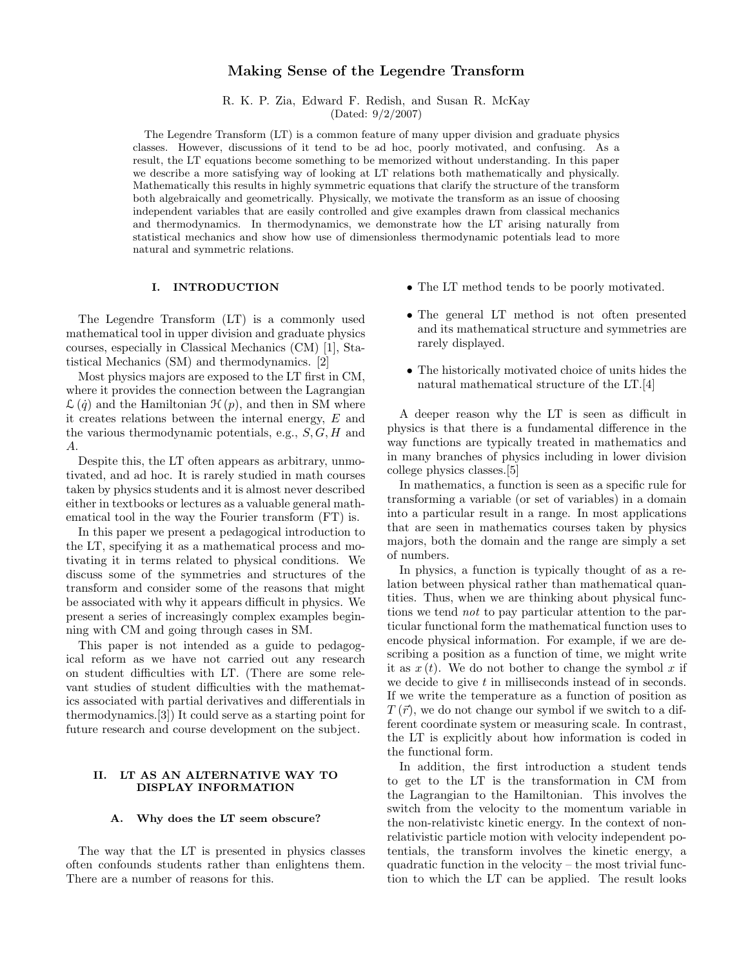# Making Sense of the Legendre Transform

R. K. P. Zia, Edward F. Redish, and Susan R. McKay (Dated: 9/2/2007)

The Legendre Transform (LT) is a common feature of many upper division and graduate physics classes. However, discussions of it tend to be ad hoc, poorly motivated, and confusing. As a result, the LT equations become something to be memorized without understanding. In this paper we describe a more satisfying way of looking at LT relations both mathematically and physically. Mathematically this results in highly symmetric equations that clarify the structure of the transform both algebraically and geometrically. Physically, we motivate the transform as an issue of choosing independent variables that are easily controlled and give examples drawn from classical mechanics and thermodynamics. In thermodynamics, we demonstrate how the LT arising naturally from statistical mechanics and show how use of dimensionless thermodynamic potentials lead to more natural and symmetric relations.

### I. INTRODUCTION

The Legendre Transform (LT) is a commonly used mathematical tool in upper division and graduate physics courses, especially in Classical Mechanics (CM) [1], Statistical Mechanics (SM) and thermodynamics. [2]

Most physics majors are exposed to the LT first in CM, where it provides the connection between the Lagrangian  $\mathcal{L}(\dot{q})$  and the Hamiltonian  $\mathcal{H}(p)$ , and then in SM where it creates relations between the internal energy, E and the various thermodynamic potentials, e.g.,  $S, G, H$  and A.

Despite this, the LT often appears as arbitrary, unmotivated, and ad hoc. It is rarely studied in math courses taken by physics students and it is almost never described either in textbooks or lectures as a valuable general mathematical tool in the way the Fourier transform (FT) is.

In this paper we present a pedagogical introduction to the LT, specifying it as a mathematical process and motivating it in terms related to physical conditions. We discuss some of the symmetries and structures of the transform and consider some of the reasons that might be associated with why it appears difficult in physics. We present a series of increasingly complex examples beginning with CM and going through cases in SM.

This paper is not intended as a guide to pedagogical reform as we have not carried out any research on student difficulties with LT. (There are some relevant studies of student difficulties with the mathematics associated with partial derivatives and differentials in thermodynamics.[3]) It could serve as a starting point for future research and course development on the subject.

# II. LT AS AN ALTERNATIVE WAY TO DISPLAY INFORMATION

## A. Why does the LT seem obscure?

The way that the LT is presented in physics classes often confounds students rather than enlightens them. There are a number of reasons for this.

- The LT method tends to be poorly motivated.
- The general LT method is not often presented and its mathematical structure and symmetries are rarely displayed.
- The historically motivated choice of units hides the natural mathematical structure of the LT.[4]

A deeper reason why the LT is seen as difficult in physics is that there is a fundamental difference in the way functions are typically treated in mathematics and in many branches of physics including in lower division college physics classes.[5]

In mathematics, a function is seen as a specific rule for transforming a variable (or set of variables) in a domain into a particular result in a range. In most applications that are seen in mathematics courses taken by physics majors, both the domain and the range are simply a set of numbers.

In physics, a function is typically thought of as a relation between physical rather than mathematical quantities. Thus, when we are thinking about physical functions we tend not to pay particular attention to the particular functional form the mathematical function uses to encode physical information. For example, if we are describing a position as a function of time, we might write it as  $x(t)$ . We do not bother to change the symbol x if we decide to give t in milliseconds instead of in seconds. If we write the temperature as a function of position as  $T(\vec{r})$ , we do not change our symbol if we switch to a different coordinate system or measuring scale. In contrast, the LT is explicitly about how information is coded in the functional form.

In addition, the first introduction a student tends to get to the LT is the transformation in CM from the Lagrangian to the Hamiltonian. This involves the switch from the velocity to the momentum variable in the non-relativistc kinetic energy. In the context of nonrelativistic particle motion with velocity independent potentials, the transform involves the kinetic energy, a quadratic function in the velocity – the most trivial function to which the LT can be applied. The result looks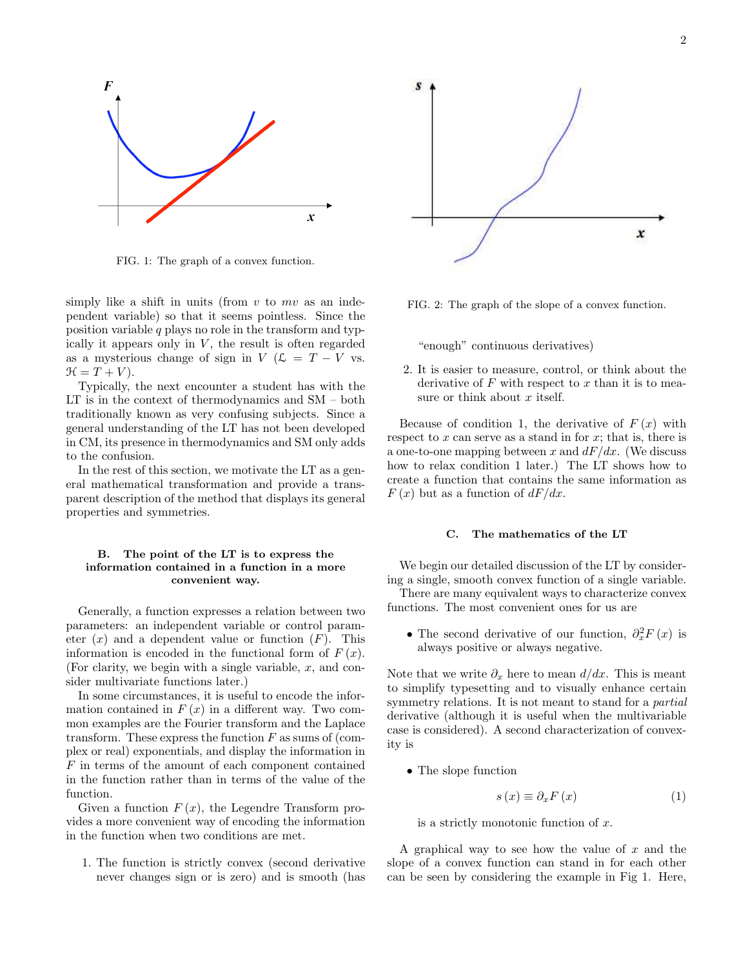

FIG. 1: The graph of a convex function.

simply like a shift in units (from  $v$  to  $mv$  as an independent variable) so that it seems pointless. Since the position variable  $q$  plays no role in the transform and typically it appears only in  $V$ , the result is often regarded as a mysterious change of sign in  $V$  ( $\mathcal{L} = T - V$  vs.  $\mathcal{H} = T + V$ .

Typically, the next encounter a student has with the LT is in the context of thermodynamics and SM – both traditionally known as very confusing subjects. Since a general understanding of the LT has not been developed in CM, its presence in thermodynamics and SM only adds to the confusion.

In the rest of this section, we motivate the LT as a general mathematical transformation and provide a transparent description of the method that displays its general properties and symmetries.

## B. The point of the LT is to express the information contained in a function in a more convenient way.

Generally, a function expresses a relation between two parameters: an independent variable or control parameter  $(x)$  and a dependent value or function  $(F)$ . This information is encoded in the functional form of  $F(x)$ . (For clarity, we begin with a single variable,  $x$ , and consider multivariate functions later.)

In some circumstances, it is useful to encode the information contained in  $F(x)$  in a different way. Two common examples are the Fourier transform and the Laplace transform. These express the function  $F$  as sums of (complex or real) exponentials, and display the information in F in terms of the amount of each component contained in the function rather than in terms of the value of the function.

Given a function  $F(x)$ , the Legendre Transform provides a more convenient way of encoding the information in the function when two conditions are met.

1. The function is strictly convex (second derivative never changes sign or is zero) and is smooth (has



FIG. 2: The graph of the slope of a convex function.

"enough" continuous derivatives)

2. It is easier to measure, control, or think about the derivative of  $F$  with respect to  $x$  than it is to measure or think about  $x$  itself.

Because of condition 1, the derivative of  $F(x)$  with respect to  $x$  can serve as a stand in for  $x$ ; that is, there is a one-to-one mapping between x and  $dF/dx$ . (We discuss how to relax condition 1 later.) The LT shows how to create a function that contains the same information as  $F(x)$  but as a function of  $dF/dx$ .

### C. The mathematics of the LT

We begin our detailed discussion of the LT by considering a single, smooth convex function of a single variable.

There are many equivalent ways to characterize convex functions. The most convenient ones for us are

• The second derivative of our function,  $\partial_x^2 F(x)$  is always positive or always negative.

Note that we write  $\partial_x$  here to mean  $d/dx$ . This is meant to simplify typesetting and to visually enhance certain symmetry relations. It is not meant to stand for a *partial* derivative (although it is useful when the multivariable case is considered). A second characterization of convexity is

• The slope function

$$
s\left(x\right) \equiv \partial_x F\left(x\right) \tag{1}
$$

is a strictly monotonic function of  $x$ .

A graphical way to see how the value of  $x$  and the slope of a convex function can stand in for each other can be seen by considering the example in Fig 1. Here,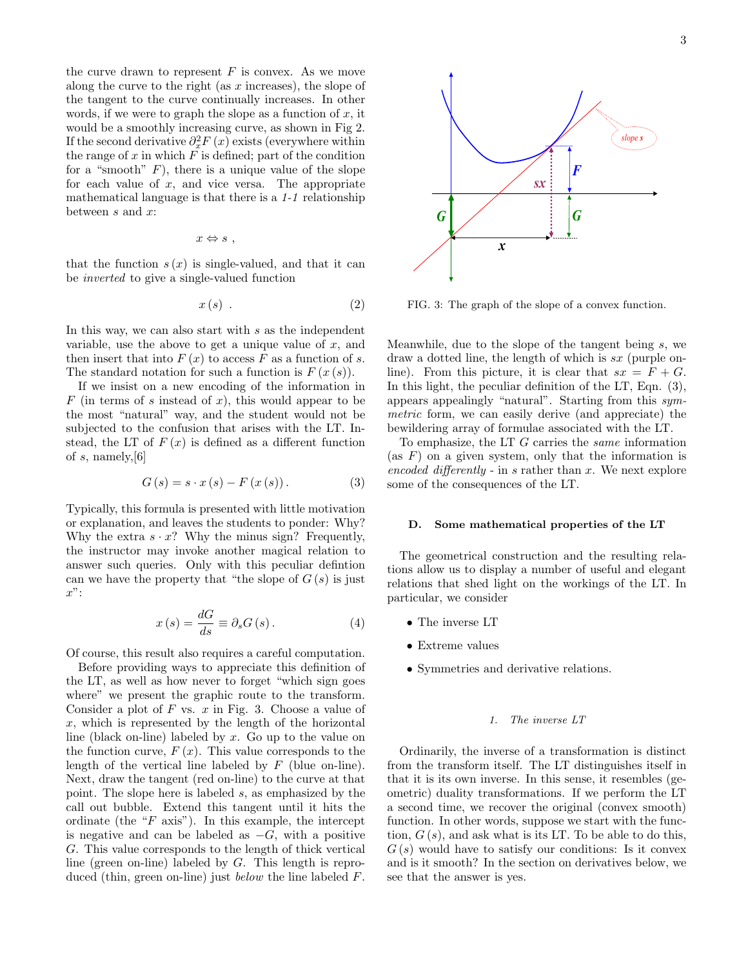the curve drawn to represent  $F$  is convex. As we move along the curve to the right (as  $x$  increases), the slope of the tangent to the curve continually increases. In other words, if we were to graph the slope as a function of  $x$ , it would be a smoothly increasing curve, as shown in Fig 2. If the second derivative  $\partial_x^2 F(x)$  exists (everywhere within the range of  $x$  in which  $F$  is defined; part of the condition for a "smooth"  $F$ ), there is a unique value of the slope for each value of  $x$ , and vice versa. The appropriate mathematical language is that there is a 1-1 relationship between  $s$  and  $x$ :

$$
x \Leftrightarrow s ,
$$

that the function  $s(x)$  is single-valued, and that it can be inverted to give a single-valued function

$$
x(s) \tag{2}
$$

In this way, we can also start with s as the independent variable, use the above to get a unique value of  $x$ , and then insert that into  $F(x)$  to access F as a function of s. The standard notation for such a function is  $F(x(s))$ .

If we insist on a new encoding of the information in  $F$  (in terms of s instead of x), this would appear to be the most "natural" way, and the student would not be subjected to the confusion that arises with the LT. Instead, the LT of  $F(x)$  is defined as a different function of  $s$ , namely,  $[6]$ 

$$
G(s) = s \cdot x(s) - F(x(s)). \tag{3}
$$

Typically, this formula is presented with little motivation or explanation, and leaves the students to ponder: Why? Why the extra  $s \cdot x$ ? Why the minus sign? Frequently, the instructor may invoke another magical relation to answer such queries. Only with this peculiar defintion can we have the property that "the slope of  $G(s)$  is just  $x$ ":

$$
x(s) = \frac{dG}{ds} \equiv \partial_s G(s). \tag{4}
$$

Of course, this result also requires a careful computation.

Before providing ways to appreciate this definition of the LT, as well as how never to forget "which sign goes where" we present the graphic route to the transform. Consider a plot of  $F$  vs.  $x$  in Fig. 3. Choose a value of  $x$ , which is represented by the length of the horizontal line (black on-line) labeled by x. Go up to the value on the function curve,  $F(x)$ . This value corresponds to the length of the vertical line labeled by  $F$  (blue on-line). Next, draw the tangent (red on-line) to the curve at that point. The slope here is labeled s, as emphasized by the call out bubble. Extend this tangent until it hits the ordinate (the " $F$  axis"). In this example, the intercept is negative and can be labeled as  $-G$ , with a positive G. This value corresponds to the length of thick vertical line (green on-line) labeled by G. This length is reproduced (thin, green on-line) just below the line labeled F.



FIG. 3: The graph of the slope of a convex function.

Meanwhile, due to the slope of the tangent being s, we draw a dotted line, the length of which is sx (purple online). From this picture, it is clear that  $sx = F + G$ . In this light, the peculiar definition of the LT, Eqn.  $(3)$ , appears appealingly "natural". Starting from this symmetric form, we can easily derive (and appreciate) the bewildering array of formulae associated with the LT.

To emphasize, the LT  $G$  carries the *same* information (as  $F$ ) on a given system, only that the information is encoded differently - in s rather than  $x$ . We next explore some of the consequences of the LT.

# D. Some mathematical properties of the LT

The geometrical construction and the resulting relations allow us to display a number of useful and elegant relations that shed light on the workings of the LT. In particular, we consider

- The inverse LT
- Extreme values
- Symmetries and derivative relations.

# 1. The inverse LT

Ordinarily, the inverse of a transformation is distinct from the transform itself. The LT distinguishes itself in that it is its own inverse. In this sense, it resembles (geometric) duality transformations. If we perform the LT a second time, we recover the original (convex smooth) function. In other words, suppose we start with the function,  $G(s)$ , and ask what is its LT. To be able to do this,  $G(s)$  would have to satisfy our conditions: Is it convex and is it smooth? In the section on derivatives below, we see that the answer is yes.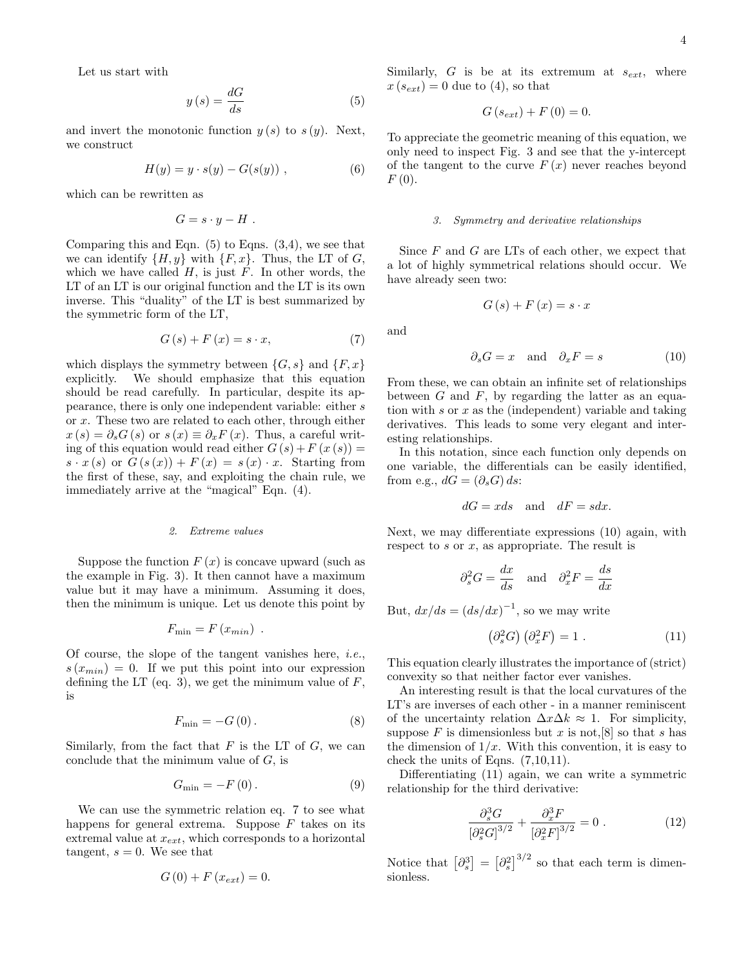Let us start with

$$
y(s) = \frac{dG}{ds} \tag{5}
$$

and invert the monotonic function  $y(s)$  to  $s(y)$ . Next, we construct

$$
H(y) = y \cdot s(y) - G(s(y)), \qquad (6)
$$

which can be rewritten as

$$
G=s\cdot y-H.
$$

Comparing this and Eqn.  $(5)$  to Eqns.  $(3,4)$ , we see that we can identify  $\{H, y\}$  with  $\{F, x\}$ . Thus, the LT of G, which we have called  $H$ , is just  $F$ . In other words, the LT of an LT is our original function and the LT is its own inverse. This "duality" of the LT is best summarized by the symmetric form of the LT,

$$
G(s) + F(x) = s \cdot x,\tag{7}
$$

which displays the symmetry between  $\{G, s\}$  and  $\{F, x\}$ explicitly. We should emphasize that this equation should be read carefully. In particular, despite its appearance, there is only one independent variable: either s or x. These two are related to each other, through either  $x(s) = \partial_s G(s)$  or  $s(x) \equiv \partial_x F(x)$ . Thus, a careful writing of this equation would read either  $G(s) + F(x(s)) =$  $s \cdot x(s)$  or  $G(s(x)) + F(x) = s(x) \cdot x$ . Starting from the first of these, say, and exploiting the chain rule, we immediately arrive at the "magical" Eqn. (4).

### 2. Extreme values

Suppose the function  $F(x)$  is concave upward (such as the example in Fig. 3). It then cannot have a maximum value but it may have a minimum. Assuming it does, then the minimum is unique. Let us denote this point by

$$
F_{\min} = F(x_{\min}) .
$$

Of course, the slope of the tangent vanishes here, *i.e.*,  $s(x_{min}) = 0$ . If we put this point into our expression defining the LT (eq. 3), we get the minimum value of  $F$ , is

$$
F_{\min} = -G(0). \tag{8}
$$

Similarly, from the fact that  $F$  is the LT of  $G$ , we can conclude that the minimum value of  $G$ , is

$$
G_{\min} = -F(0). \tag{9}
$$

We can use the symmetric relation eq. 7 to see what happens for general extrema. Suppose  $F$  takes on its extremal value at  $x_{ext}$ , which corresponds to a horizontal tangent,  $s = 0$ . We see that

$$
G\left( 0\right) +F\left( x_{ext}\right) =0.
$$

Similarly,  $G$  is be at its extremum at  $s_{ext}$ , where  $x(s_{ext}) = 0$  due to (4), so that

$$
G(s_{ext}) + F(0) = 0.
$$

To appreciate the geometric meaning of this equation, we only need to inspect Fig. 3 and see that the y-intercept of the tangent to the curve  $F(x)$  never reaches beyond  $F(0).$ 

## 3. Symmetry and derivative relationships

Since  $F$  and  $G$  are LTs of each other, we expect that a lot of highly symmetrical relations should occur. We have already seen two:

$$
G\left(s\right) + F\left(x\right) = s \cdot x
$$

and

$$
\partial_s G = x \quad \text{and} \quad \partial_x F = s \tag{10}
$$

From these, we can obtain an infinite set of relationships between  $G$  and  $F$ , by regarding the latter as an equation with  $s$  or  $x$  as the (independent) variable and taking derivatives. This leads to some very elegant and interesting relationships.

In this notation, since each function only depends on one variable, the differentials can be easily identified, from e.g.,  $dG = (\partial_s G) ds$ :

$$
dG = xds \quad \text{and} \quad dF = sdx.
$$

Next, we may differentiate expressions (10) again, with respect to s or x, as appropriate. The result is

$$
\partial_s^2 G = \frac{dx}{ds}
$$
 and  $\partial_x^2 F = \frac{ds}{dx}$ 

But,  $dx/ds = (ds/dx)^{-1}$ , so we may write

$$
\left(\partial_s^2 G\right) \left(\partial_x^2 F\right) = 1 \tag{11}
$$

This equation clearly illustrates the importance of (strict) convexity so that neither factor ever vanishes.

An interesting result is that the local curvatures of the LT's are inverses of each other - in a manner reminiscent of the uncertainty relation  $\Delta x \Delta k \approx 1$ . For simplicity, suppose  $F$  is dimensionless but  $x$  is not,  $[8]$  so that  $s$  has the dimension of  $1/x$ . With this convention, it is easy to check the units of Eqns. (7,10,11).

Differentiating (11) again, we can write a symmetric relationship for the third derivative:

$$
\frac{\partial_s^3 G}{\left[\partial_s^2 G\right]^{3/2}} + \frac{\partial_x^3 F}{\left[\partial_x^2 F\right]^{3/2}} = 0 \ . \tag{12}
$$

Notice that  $\left[\partial_s^3\right] = \left[\partial_s^2\right]^{3/2}$  so that each term is dimensionless.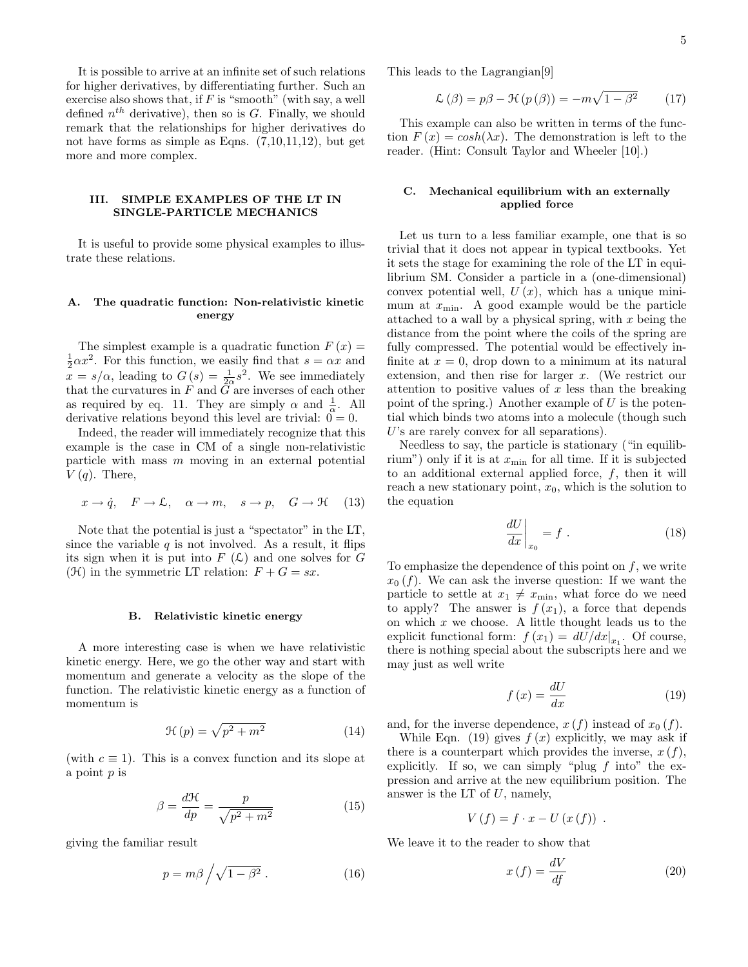5

It is possible to arrive at an infinite set of such relations for higher derivatives, by differentiating further. Such an exercise also shows that, if  $F$  is "smooth" (with say, a well defined  $n^{th}$  derivative), then so is G. Finally, we should remark that the relationships for higher derivatives do not have forms as simple as Eqns. (7,10,11,12), but get more and more complex.

# III. SIMPLE EXAMPLES OF THE LT IN SINGLE-PARTICLE MECHANICS

It is useful to provide some physical examples to illustrate these relations.

# A. The quadratic function: Non-relativistic kinetic energy

The simplest example is a quadratic function  $F(x) =$  $\frac{1}{2}\alpha x^2$ . For this function, we easily find that  $s = \alpha x$  and  $x = s/\alpha$ , leading to  $G(s) = \frac{1}{2\alpha}s^2$ . We see immediately that the curvatures in  $F$  and  $G$  are inverses of each other as required by eq. 11. They are simply  $\alpha$  and  $\frac{1}{\alpha}$ . All derivative relations beyond this level are trivial:  $0 = 0$ .

Indeed, the reader will immediately recognize that this example is the case in CM of a single non-relativistic particle with mass  $m$  moving in an external potential  $V(q)$ . There,

$$
x \to \dot{q}
$$
,  $F \to \mathcal{L}$ ,  $\alpha \to m$ ,  $s \to p$ ,  $G \to \mathcal{H}$  (13)

Note that the potential is just a "spectator" in the LT, since the variable  $q$  is not involved. As a result, it flips its sign when it is put into  $F(\mathcal{L})$  and one solves for G  $(\mathcal{H})$  in the symmetric LT relation:  $F + G = sx$ .

# B. Relativistic kinetic energy

A more interesting case is when we have relativistic kinetic energy. Here, we go the other way and start with momentum and generate a velocity as the slope of the function. The relativistic kinetic energy as a function of momentum is

$$
\mathcal{H}(p) = \sqrt{p^2 + m^2} \tag{14}
$$

(with  $c \equiv 1$ ). This is a convex function and its slope at a point  $p$  is

$$
\beta = \frac{d\mathcal{H}}{dp} = \frac{p}{\sqrt{p^2 + m^2}}\tag{15}
$$

giving the familiar result

$$
p = m\beta \bigg/ \sqrt{1 - \beta^2} \ . \tag{16}
$$

This leads to the Lagrangian[9]

$$
\mathcal{L}(\beta) = p\beta - \mathcal{H}(p(\beta)) = -m\sqrt{1 - \beta^2} \qquad (17)
$$

This example can also be written in terms of the function  $F(x) = \cosh(\lambda x)$ . The demonstration is left to the reader. (Hint: Consult Taylor and Wheeler [10].)

# C. Mechanical equilibrium with an externally applied force

Let us turn to a less familiar example, one that is so trivial that it does not appear in typical textbooks. Yet it sets the stage for examining the role of the LT in equilibrium SM. Consider a particle in a (one-dimensional) convex potential well,  $U(x)$ , which has a unique minimum at  $x_{\min}$ . A good example would be the particle attached to a wall by a physical spring, with  $x$  being the distance from the point where the coils of the spring are fully compressed. The potential would be effectively infinite at  $x = 0$ , drop down to a minimum at its natural extension, and then rise for larger x. (We restrict our attention to positive values of  $x$  less than the breaking point of the spring.) Another example of  $U$  is the potential which binds two atoms into a molecule (though such U's are rarely convex for all separations).

Needless to say, the particle is stationary ("in equilibrium") only if it is at  $x_{\min}$  for all time. If it is subjected to an additional external applied force,  $f$ , then it will reach a new stationary point,  $x_0$ , which is the solution to the equation

$$
\left. \frac{dU}{dx} \right|_{x_0} = f \ . \tag{18}
$$

To emphasize the dependence of this point on  $f$ , we write  $x_0$  (f). We can ask the inverse question: If we want the particle to settle at  $x_1 \neq x_{\min}$ , what force do we need to apply? The answer is  $f(x_1)$ , a force that depends on which  $x$  we choose. A little thought leads us to the explicit functional form:  $f(x_1) = dU/dx|_{x_1}$ . Of course, there is nothing special about the subscripts here and we may just as well write

$$
f\left(x\right) = \frac{dU}{dx} \tag{19}
$$

and, for the inverse dependence,  $x(f)$  instead of  $x_0(f)$ .

While Eqn. (19) gives  $f(x)$  explicitly, we may ask if there is a counterpart which provides the inverse,  $x(f)$ , explicitly. If so, we can simply "plug  $f$  into" the expression and arrive at the new equilibrium position. The answer is the LT of  $U$ , namely,

$$
V(f) = f \cdot x - U(x(f)) .
$$

We leave it to the reader to show that

$$
x\left(f\right) = \frac{dV}{df} \tag{20}
$$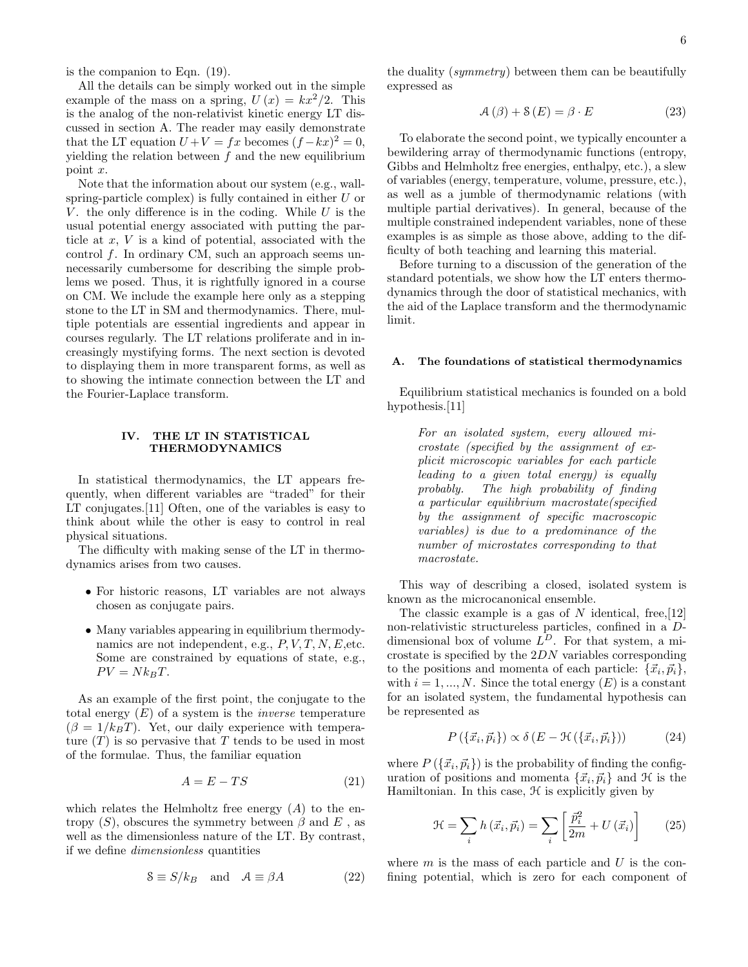is the companion to Eqn. (19).

All the details can be simply worked out in the simple example of the mass on a spring,  $U(x) = kx^2/2$ . This is the analog of the non-relativist kinetic energy LT discussed in section A. The reader may easily demonstrate that the LT equation  $U + V = fx$  becomes  $(f - kx)^2 = 0$ , yielding the relation between  $f$  and the new equilibrium point x.

Note that the information about our system (e.g., wallspring-particle complex) is fully contained in either U or V, the only difference is in the coding. While U is the usual potential energy associated with putting the particle at  $x, V$  is a kind of potential, associated with the control f. In ordinary CM, such an approach seems unnecessarily cumbersome for describing the simple problems we posed. Thus, it is rightfully ignored in a course on CM. We include the example here only as a stepping stone to the LT in SM and thermodynamics. There, multiple potentials are essential ingredients and appear in courses regularly. The LT relations proliferate and in increasingly mystifying forms. The next section is devoted to displaying them in more transparent forms, as well as to showing the intimate connection between the LT and the Fourier-Laplace transform.

# IV. THE LT IN STATISTICAL THERMODYNAMICS

In statistical thermodynamics, the LT appears frequently, when different variables are "traded" for their LT conjugates.[11] Often, one of the variables is easy to think about while the other is easy to control in real physical situations.

The difficulty with making sense of the LT in thermodynamics arises from two causes.

- For historic reasons, LT variables are not always chosen as conjugate pairs.
- Many variables appearing in equilibrium thermodynamics are not independent, e.g.,  $P, V, T, N, E$ , etc. Some are constrained by equations of state, e.g.,  $PV = Nk_BT.$

As an example of the first point, the conjugate to the total energy  $(E)$  of a system is the *inverse* temperature  $(\beta = 1/k_BT)$ . Yet, our daily experience with temperature  $(T)$  is so pervasive that T tends to be used in most of the formulae. Thus, the familiar equation

$$
A = E - TS \tag{21}
$$

which relates the Helmholtz free energy  $(A)$  to the entropy  $(S)$ , obscures the symmetry between  $\beta$  and  $E$ , as well as the dimensionless nature of the LT. By contrast, if we define dimensionless quantities

$$
8 \equiv S/k_B \quad \text{and} \quad \mathcal{A} \equiv \beta A \tag{22}
$$

the duality (symmetry) between them can be beautifully expressed as

$$
\mathcal{A}(\beta) + \mathcal{S}(E) = \beta \cdot E \tag{23}
$$

To elaborate the second point, we typically encounter a bewildering array of thermodynamic functions (entropy, Gibbs and Helmholtz free energies, enthalpy, etc.), a slew of variables (energy, temperature, volume, pressure, etc.), as well as a jumble of thermodynamic relations (with multiple partial derivatives). In general, because of the multiple constrained independent variables, none of these examples is as simple as those above, adding to the difficulty of both teaching and learning this material.

Before turning to a discussion of the generation of the standard potentials, we show how the LT enters thermodynamics through the door of statistical mechanics, with the aid of the Laplace transform and the thermodynamic limit.

## A. The foundations of statistical thermodynamics

Equilibrium statistical mechanics is founded on a bold hypothesis.<sup>[11]</sup>

> For an isolated system, every allowed microstate (specified by the assignment of explicit microscopic variables for each particle leading to a given total energy) is equally probably. The high probability of finding a particular equilibrium macrostate(specified by the assignment of specific macroscopic variables) is due to a predominance of the number of microstates corresponding to that macrostate.

This way of describing a closed, isolated system is known as the microcanonical ensemble.

The classic example is a gas of  $N$  identical, free, [12] non-relativistic structureless particles, confined in a Ddimensional box of volume  $L^D$ . For that system, a microstate is specified by the 2DN variables corresponding to the positions and momenta of each particle:  $\{\vec{x}_i, \vec{p}_i\},\$ with  $i = 1, ..., N$ . Since the total energy  $(E)$  is a constant for an isolated system, the fundamental hypothesis can be represented as

$$
P(\{\vec{x}_i, \vec{p}_i\}) \propto \delta(E - \mathcal{H}(\{\vec{x}_i, \vec{p}_i\}))
$$
 (24)

where  $P(\lbrace \vec{x_i}, \vec{p_i} \rbrace)$  is the probability of finding the configuration of positions and momenta  $\{\vec{x}_i, \vec{p}_i\}$  and  $\mathcal{H}$  is the Hamiltonian. In this case,  $H$  is explicitly given by

$$
\mathcal{H} = \sum_{i} h\left(\vec{x}_i, \vec{p}_i\right) = \sum_{i} \left[\frac{\vec{p}_i^2}{2m} + U\left(\vec{x}_i\right)\right] \tag{25}
$$

where  $m$  is the mass of each particle and  $U$  is the confining potential, which is zero for each component of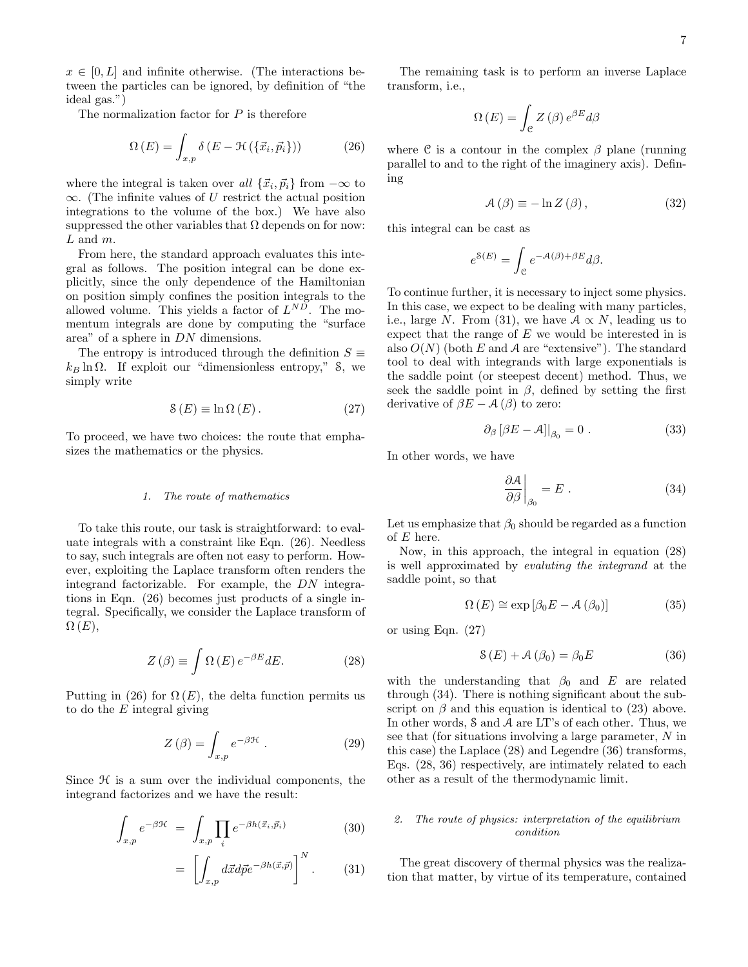$x \in [0, L]$  and infinite otherwise. (The interactions between the particles can be ignored, by definition of "the ideal gas.")

The normalization factor for  $P$  is therefore

$$
\Omega(E) = \int_{x,p} \delta(E - \mathcal{H}(\{\vec{x}_i, \vec{p}_i\})) \tag{26}
$$

where the integral is taken over all  $\{\vec{x}_i, \vec{p}_i\}$  from  $-\infty$  to  $\infty$ . (The infinite values of U restrict the actual position integrations to the volume of the box.) We have also suppressed the other variables that  $\Omega$  depends on for now:  $L$  and  $m$ .

From here, the standard approach evaluates this integral as follows. The position integral can be done explicitly, since the only dependence of the Hamiltonian on position simply confines the position integrals to the allowed volume. This yields a factor of  $L^{ND}$ . The momentum integrals are done by computing the "surface area" of a sphere in DN dimensions.

The entropy is introduced through the definition  $S \equiv$  $k_B \ln \Omega$ . If exploit our "dimensionless entropy," S, we simply write

$$
S(E) \equiv \ln \Omega(E). \tag{27}
$$

To proceed, we have two choices: the route that emphasizes the mathematics or the physics.

## 1. The route of mathematics

To take this route, our task is straightforward: to evaluate integrals with a constraint like Eqn. (26). Needless to say, such integrals are often not easy to perform. However, exploiting the Laplace transform often renders the integrand factorizable. For example, the DN integrations in Eqn. (26) becomes just products of a single integral. Specifically, we consider the Laplace transform of  $\Omega(E),$ 

$$
Z(\beta) \equiv \int \Omega(E) e^{-\beta E} dE. \tag{28}
$$

Putting in (26) for  $\Omega(E)$ , the delta function permits us to do the  $E$  integral giving

$$
Z(\beta) = \int_{x,p} e^{-\beta \mathcal{H}} \,. \tag{29}
$$

Since  $H$  is a sum over the individual components, the integrand factorizes and we have the result:

$$
\int_{x,p} e^{-\beta \mathcal{H}} = \int_{x,p} \prod_{i} e^{-\beta h(\vec{x}_i, \vec{p}_i)} \tag{30}
$$

$$
= \left[ \int_{x,p} d\vec{x} d\vec{p} e^{-\beta h(\vec{x}, \vec{p})} \right]^N. \tag{31}
$$

The remaining task is to perform an inverse Laplace transform, i.e.,

$$
\Omega(E) = \int_{\mathcal{C}} Z(\beta) e^{\beta E} d\beta
$$

where  $\mathcal C$  is a contour in the complex  $\beta$  plane (running parallel to and to the right of the imaginery axis). Defining

$$
\mathcal{A}(\beta) \equiv -\ln Z(\beta),\tag{32}
$$

this integral can be cast as

$$
e^{8(E)} = \int_{\mathcal{C}} e^{-\mathcal{A}(\beta) + \beta E} d\beta.
$$

To continue further, it is necessary to inject some physics. In this case, we expect to be dealing with many particles, i.e., large N. From (31), we have  $A \propto N$ , leading us to expect that the range of  $E$  we would be interested in is also  $O(N)$  (both E and A are "extensive"). The standard tool to deal with integrands with large exponentials is the saddle point (or steepest decent) method. Thus, we seek the saddle point in  $\beta$ , defined by setting the first derivative of  $\beta E - A(\beta)$  to zero:

$$
\partial_{\beta} \left[ \beta E - A \right] \Big|_{\beta_0} = 0 \tag{33}
$$

In other words, we have

$$
\left. \frac{\partial \mathcal{A}}{\partial \beta} \right|_{\beta_0} = E \ . \tag{34}
$$

Let us emphasize that  $\beta_0$  should be regarded as a function of  $E$  here.

Now, in this approach, the integral in equation (28) is well approximated by evaluting the integrand at the saddle point, so that

$$
\Omega(E) \cong \exp\left[\beta_0 E - \mathcal{A}\left(\beta_0\right)\right] \tag{35}
$$

or using Eqn. (27)

$$
\mathcal{S}(E) + \mathcal{A}(\beta_0) = \beta_0 E \tag{36}
$$

with the understanding that  $\beta_0$  and E are related through (34). There is nothing significant about the subscript on  $\beta$  and this equation is identical to (23) above. In other words, S and A are LT's of each other. Thus, we see that (for situations involving a large parameter, N in this case) the Laplace (28) and Legendre (36) transforms, Eqs. (28, 36) respectively, are intimately related to each other as a result of the thermodynamic limit.

# 2. The route of physics: interpretation of the equilibrium condition

The great discovery of thermal physics was the realization that matter, by virtue of its temperature, contained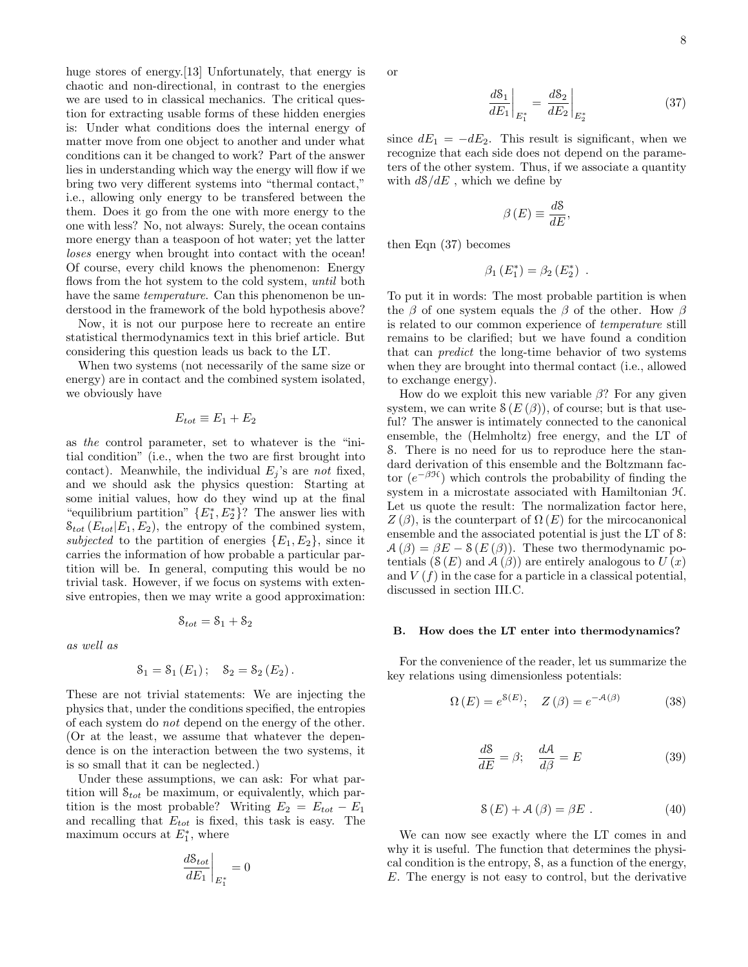huge stores of energy.<sup>[13]</sup> Unfortunately, that energy is chaotic and non-directional, in contrast to the energies we are used to in classical mechanics. The critical question for extracting usable forms of these hidden energies is: Under what conditions does the internal energy of matter move from one object to another and under what conditions can it be changed to work? Part of the answer lies in understanding which way the energy will flow if we bring two very different systems into "thermal contact," i.e., allowing only energy to be transfered between the them. Does it go from the one with more energy to the one with less? No, not always: Surely, the ocean contains more energy than a teaspoon of hot water; yet the latter loses energy when brought into contact with the ocean! Of course, every child knows the phenomenon: Energy flows from the hot system to the cold system, until both have the same *temperature*. Can this phenomenon be understood in the framework of the bold hypothesis above?

Now, it is not our purpose here to recreate an entire statistical thermodynamics text in this brief article. But considering this question leads us back to the LT.

When two systems (not necessarily of the same size or energy) are in contact and the combined system isolated, we obviously have

$$
E_{tot} \equiv E_1 + E_2
$$

as the control parameter, set to whatever is the "initial condition" (i.e., when the two are first brought into contact). Meanwhile, the individual  $E_i$ 's are not fixed, and we should ask the physics question: Starting at some initial values, how do they wind up at the final "equilibrium partition"  $\{E_1^*, E_2^*\}$ ? The answer lies with  $\mathcal{S}_{tot}(E_{tot}|E_1, E_2)$ , the entropy of the combined system, subjected to the partition of energies  $\{E_1, E_2\}$ , since it carries the information of how probable a particular partition will be. In general, computing this would be no trivial task. However, if we focus on systems with extensive entropies, then we may write a good approximation:

$$
\mathcal{S}_{tot} = \mathcal{S}_1 + \mathcal{S}_2
$$

as well as

$$
S_1 = S_1(E_1); S_2 = S_2(E_2).
$$

These are not trivial statements: We are injecting the physics that, under the conditions specified, the entropies of each system do not depend on the energy of the other. (Or at the least, we assume that whatever the dependence is on the interaction between the two systems, it is so small that it can be neglected.)

Under these assumptions, we can ask: For what partition will  $S_{tot}$  be maximum, or equivalently, which partition is the most probable? Writing  $E_2 = E_{tot} - E_1$ and recalling that  $E_{tot}$  is fixed, this task is easy. The maximum occurs at  $E_1^*$ , where

$$
\left. \frac{d \mathcal{S}_{tot}}{d E_1} \right|_{E_1^*} = 0
$$

or

$$
\left. \frac{dS_1}{dE_1} \right|_{E_1^*} = \left. \frac{dS_2}{dE_2} \right|_{E_2^*} \tag{37}
$$

since  $dE_1 = -dE_2$ . This result is significant, when we recognize that each side does not depend on the parameters of the other system. Thus, if we associate a quantity with  $d\mathcal{S}/dE$ , which we define by

$$
\beta(E) \equiv \frac{dS}{dE},
$$

then Eqn (37) becomes

$$
\beta_1(E_1^*) = \beta_2(E_2^*) .
$$

To put it in words: The most probable partition is when the  $\beta$  of one system equals the  $\beta$  of the other. How  $\beta$ is related to our common experience of temperature still remains to be clarified; but we have found a condition that can predict the long-time behavior of two systems when they are brought into thermal contact (i.e., allowed to exchange energy).

How do we exploit this new variable  $\beta$ ? For any given system, we can write  $\mathcal{S}(E(\beta))$ , of course; but is that useful? The answer is intimately connected to the canonical ensemble, the (Helmholtz) free energy, and the LT of S. There is no need for us to reproduce here the standard derivation of this ensemble and the Boltzmann factor  $(e^{-\beta \mathcal{H}})$  which controls the probability of finding the system in a microstate associated with Hamiltonian  $H$ . Let us quote the result: The normalization factor here,  $Z(\beta)$ , is the counterpart of  $\Omega(E)$  for the mircocanonical ensemble and the associated potential is just the LT of S:  $A(\beta) = \beta E - S(E(\beta))$ . These two thermodynamic potentials  $(S(E)$  and  $A(\beta))$  are entirely analogous to  $U(x)$ and  $V(f)$  in the case for a particle in a classical potential, discussed in section III.C.

### B. How does the LT enter into thermodynamics?

For the convenience of the reader, let us summarize the key relations using dimensionless potentials:

$$
\Omega(E) = e^{8(E)}; \quad Z(\beta) = e^{-\mathcal{A}(\beta)} \tag{38}
$$

$$
\frac{dS}{dE} = \beta; \quad \frac{dA}{d\beta} = E \tag{39}
$$

$$
\mathcal{S}(E) + \mathcal{A}(\beta) = \beta E \tag{40}
$$

We can now see exactly where the LT comes in and why it is useful. The function that determines the physical condition is the entropy, S, as a function of the energy, E. The energy is not easy to control, but the derivative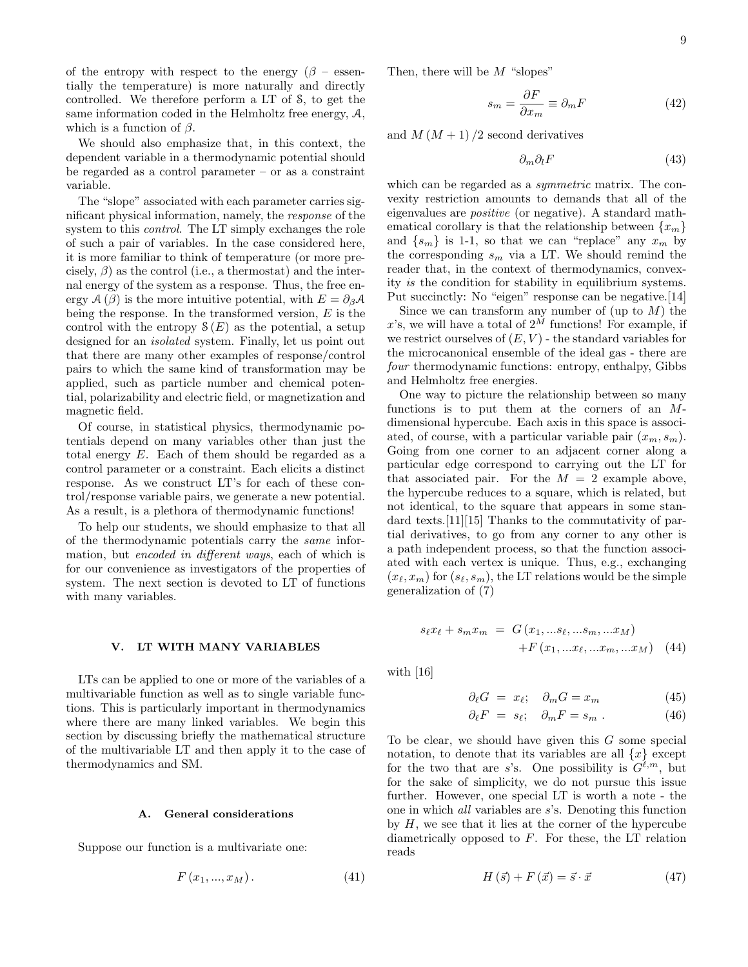of the entropy with respect to the energy  $(\beta - \text{essen} - \text{).}$ tially the temperature) is more naturally and directly controlled. We therefore perform a LT of S, to get the same information coded in the Helmholtz free energy,  $A$ , which is a function of  $\beta$ .

We should also emphasize that, in this context, the dependent variable in a thermodynamic potential should be regarded as a control parameter – or as a constraint variable.

The "slope" associated with each parameter carries significant physical information, namely, the response of the system to this control. The LT simply exchanges the role of such a pair of variables. In the case considered here, it is more familiar to think of temperature (or more precisely,  $\beta$ ) as the control (i.e., a thermostat) and the internal energy of the system as a response. Thus, the free energy  $\mathcal{A}(\beta)$  is the more intuitive potential, with  $E = \partial_{\beta} \mathcal{A}$ being the response. In the transformed version,  $E$  is the control with the entropy  $S(E)$  as the potential, a setup designed for an isolated system. Finally, let us point out that there are many other examples of response/control pairs to which the same kind of transformation may be applied, such as particle number and chemical potential, polarizability and electric field, or magnetization and magnetic field.

Of course, in statistical physics, thermodynamic potentials depend on many variables other than just the total energy E. Each of them should be regarded as a control parameter or a constraint. Each elicits a distinct response. As we construct LT's for each of these control/response variable pairs, we generate a new potential. As a result, is a plethora of thermodynamic functions!

To help our students, we should emphasize to that all of the thermodynamic potentials carry the same information, but *encoded in different ways*, each of which is for our convenience as investigators of the properties of system. The next section is devoted to LT of functions with many variables.

#### V. LT WITH MANY VARIABLES

LTs can be applied to one or more of the variables of a multivariable function as well as to single variable functions. This is particularly important in thermodynamics where there are many linked variables. We begin this section by discussing briefly the mathematical structure of the multivariable LT and then apply it to the case of thermodynamics and SM.

#### A. General considerations

Suppose our function is a multivariate one:

$$
F(x_1,...,x_M). \t\t(41)
$$

Then, there will be  $M$  "slopes"

$$
s_m = \frac{\partial F}{\partial x_m} \equiv \partial_m F \tag{42}
$$

and  $M (M + 1)$  /2 second derivatives

$$
\partial_m \partial_l F \tag{43}
$$

which can be regarded as a *symmetric* matrix. The convexity restriction amounts to demands that all of the eigenvalues are positive (or negative). A standard mathematical corollary is that the relationship between  $\{x_m\}$ and  $\{s_m\}$  is 1-1, so that we can "replace" any  $x_m$  by the corresponding  $s_m$  via a LT. We should remind the reader that, in the context of thermodynamics, convexity is the condition for stability in equilibrium systems. Put succinctly: No "eigen" response can be negative.[14]

Since we can transform any number of (up to  $M$ ) the x's, we will have a total of  $2^{\tilde{M}}$  functions! For example, if we restrict ourselves of  $(E, V)$  - the standard variables for the microcanonical ensemble of the ideal gas - there are four thermodynamic functions: entropy, enthalpy, Gibbs and Helmholtz free energies.

One way to picture the relationship between so many functions is to put them at the corners of an Mdimensional hypercube. Each axis in this space is associated, of course, with a particular variable pair  $(x_m, s_m)$ . Going from one corner to an adjacent corner along a particular edge correspond to carrying out the LT for that associated pair. For the  $M = 2$  example above, the hypercube reduces to a square, which is related, but not identical, to the square that appears in some standard texts.[11][15] Thanks to the commutativity of partial derivatives, to go from any corner to any other is a path independent process, so that the function associated with each vertex is unique. Thus, e.g., exchanging  $(x_{\ell}, x_m)$  for  $(s_{\ell}, s_m)$ , the LT relations would be the simple generalization of (7)

$$
s_{\ell}x_{\ell} + s_m x_m = G(x_1, \ldots s_{\ell}, \ldots s_m, \ldots x_M)
$$

$$
+ F(x_1, \ldots x_{\ell}, \ldots x_m, \ldots x_M) \quad (44)
$$

with [16]

$$
\partial_{\ell} G = x_{\ell}; \quad \partial_m G = x_m \tag{45}
$$

$$
\partial_{\ell} F = s_{\ell}; \quad \partial_m F = s_m . \tag{46}
$$

To be clear, we should have given this  $G$  some special notation, to denote that its variables are all  $\{x\}$  except for the two that are s's. One possibility is  $G^{\ell,m}$ , but for the sake of simplicity, we do not pursue this issue further. However, one special LT is worth a note - the one in which all variables are s's. Denoting this function by  $H$ , we see that it lies at the corner of the hypercube diametrically opposed to F. For these, the LT relation reads

$$
H\left(\vec{s}\right) + F\left(\vec{x}\right) = \vec{s} \cdot \vec{x} \tag{47}
$$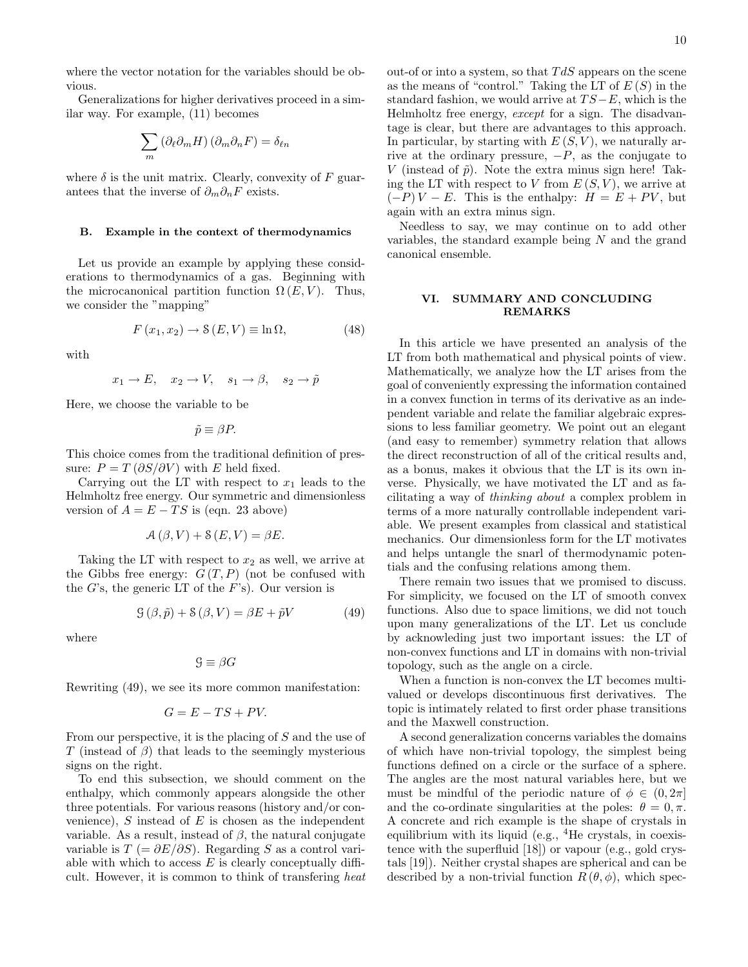where the vector notation for the variables should be obvious.

Generalizations for higher derivatives proceed in a similar way. For example, (11) becomes

$$
\sum_{m} \left( \partial_{\ell} \partial_{m} H \right) \left( \partial_{m} \partial_{n} F \right) = \delta_{\ell n}
$$

where  $\delta$  is the unit matrix. Clearly, convexity of F guarantees that the inverse of  $\partial_m \partial_n F$  exists.

### B. Example in the context of thermodynamics

Let us provide an example by applying these considerations to thermodynamics of a gas. Beginning with the microcanonical partition function  $\Omega(E, V)$ . Thus, we consider the "mapping"

$$
F(x_1, x_2) \to \mathcal{S}(E, V) \equiv \ln \Omega, \tag{48}
$$

with

$$
x_1 \rightarrow E
$$
,  $x_2 \rightarrow V$ ,  $s_1 \rightarrow \beta$ ,  $s_2 \rightarrow \tilde{p}$ 

Here, we choose the variable to be

$$
\tilde{p} \equiv \beta P.
$$

This choice comes from the traditional definition of pressure:  $P = T(\partial S/\partial V)$  with E held fixed.

Carrying out the LT with respect to  $x_1$  leads to the Helmholtz free energy. Our symmetric and dimensionless version of  $A = E - TS$  is (eqn. 23 above)

$$
\mathcal{A}(\beta,V) + \mathcal{S}(E,V) = \beta E.
$$

Taking the LT with respect to  $x_2$  as well, we arrive at the Gibbs free energy:  $G(T, P)$  (not be confused with the G's, the generic LT of the  $F$ 's). Our version is

$$
\mathcal{G}\left(\beta,\tilde{p}\right) + \mathcal{S}\left(\beta,V\right) = \beta E + \tilde{p}V\tag{49}
$$

where

$$
\mathcal{G} \equiv \beta G
$$

Rewriting (49), we see its more common manifestation:

$$
G = E - TS + PV.
$$

From our perspective, it is the placing of S and the use of T (instead of  $\beta$ ) that leads to the seemingly mysterious signs on the right.

To end this subsection, we should comment on the enthalpy, which commonly appears alongside the other three potentials. For various reasons (history and/or convenience),  $S$  instead of  $E$  is chosen as the independent variable. As a result, instead of  $\beta$ , the natural conjugate variable is  $T = \partial E/\partial S$ . Regarding S as a control variable with which to access  $E$  is clearly conceptually difficult. However, it is common to think of transfering heat out-of or into a system, so that  $TdS$  appears on the scene as the means of "control." Taking the LT of  $E(S)$  in the standard fashion, we would arrive at  $TS-E$ , which is the Helmholtz free energy, except for a sign. The disadvantage is clear, but there are advantages to this approach. In particular, by starting with  $E(S, V)$ , we naturally arrive at the ordinary pressure,  $-P$ , as the conjugate to V (instead of  $\tilde{p}$ ). Note the extra minus sign here! Taking the LT with respect to V from  $E(S, V)$ , we arrive at  $(-P) V - E$ . This is the enthalpy:  $H = E + PV$ , but again with an extra minus sign.

Needless to say, we may continue on to add other variables, the standard example being N and the grand canonical ensemble.

## VI. SUMMARY AND CONCLUDING REMARKS

In this article we have presented an analysis of the LT from both mathematical and physical points of view. Mathematically, we analyze how the LT arises from the goal of conveniently expressing the information contained in a convex function in terms of its derivative as an independent variable and relate the familiar algebraic expressions to less familiar geometry. We point out an elegant (and easy to remember) symmetry relation that allows the direct reconstruction of all of the critical results and, as a bonus, makes it obvious that the LT is its own inverse. Physically, we have motivated the LT and as facilitating a way of thinking about a complex problem in terms of a more naturally controllable independent variable. We present examples from classical and statistical mechanics. Our dimensionless form for the LT motivates and helps untangle the snarl of thermodynamic potentials and the confusing relations among them.

There remain two issues that we promised to discuss. For simplicity, we focused on the LT of smooth convex functions. Also due to space limitions, we did not touch upon many generalizations of the LT. Let us conclude by acknowleding just two important issues: the LT of non-convex functions and LT in domains with non-trivial topology, such as the angle on a circle.

When a function is non-convex the LT becomes multivalued or develops discontinuous first derivatives. The topic is intimately related to first order phase transitions and the Maxwell construction.

A second generalization concerns variables the domains of which have non-trivial topology, the simplest being functions defined on a circle or the surface of a sphere. The angles are the most natural variables here, but we must be mindful of the periodic nature of  $\phi \in (0, 2\pi]$ and the co-ordinate singularities at the poles:  $\theta = 0, \pi$ . A concrete and rich example is the shape of crystals in equilibrium with its liquid (e.g.,  ${}^{4}$ He crystals, in coexistence with the superfluid [18]) or vapour (e.g., gold crystals [19]). Neither crystal shapes are spherical and can be described by a non-trivial function  $R(\theta, \phi)$ , which spec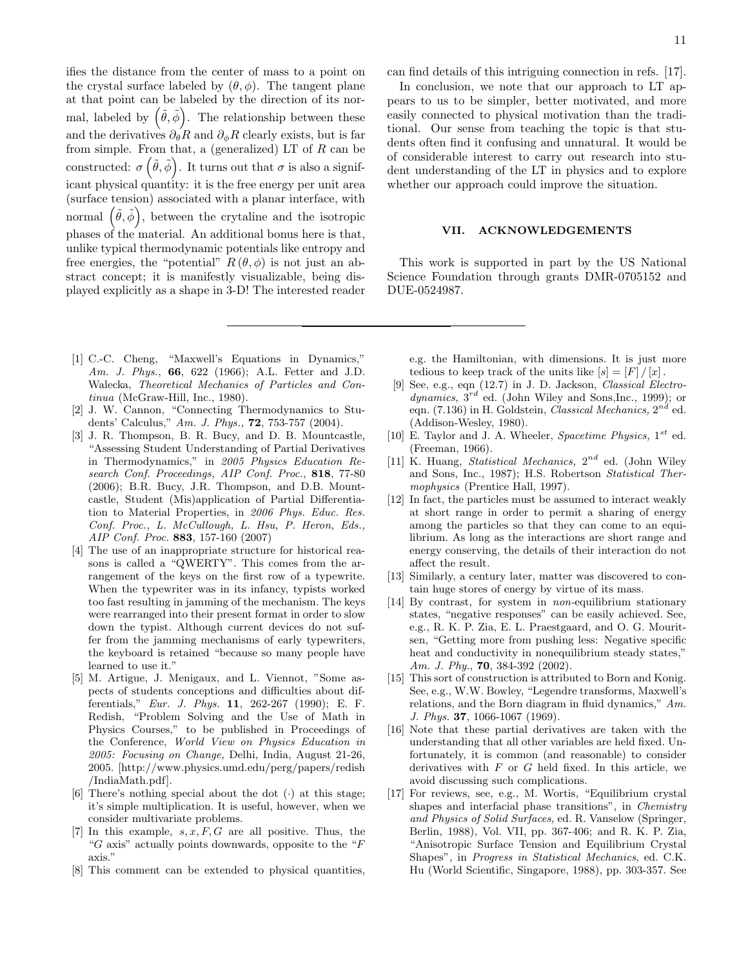ifies the distance from the center of mass to a point on the crystal surface labeled by  $(\theta, \phi)$ . The tangent plane at that point can be labeled by the direction of its normal, labeled by  $(\tilde{\theta}, \tilde{\phi})$ . The relationship between these and the derivatives  $\partial_{\theta}R$  and  $\partial_{\phi}R$  clearly exists, but is far from simple. From that, a (generalized) LT of  $R$  can be constructed:  $\sigma\left(\tilde{\theta},\tilde{\phi}\right)$ . It turns out that  $\sigma$  is also a significant physical quantity: it is the free energy per unit area (surface tension) associated with a planar interface, with normal  $(\tilde{\theta}, \tilde{\phi})$ , between the crytaline and the isotropic phases of the material. An additional bonus here is that, unlike typical thermodynamic potentials like entropy and free energies, the "potential"  $R(\theta, \phi)$  is not just an abstract concept; it is manifestly visualizable, being displayed explicitly as a shape in 3-D! The interested reader

- [1] C.-C. Cheng, "Maxwell's Equations in Dynamics," Am. J. Phys., 66, 622 (1966); A.L. Fetter and J.D. Walecka, Theoretical Mechanics of Particles and Continua (McGraw-Hill, Inc., 1980).
- [2] J. W. Cannon, "Connecting Thermodynamics to Students' Calculus," Am. J. Phys., 72, 753-757 (2004).
- [3] J. R. Thompson, B. R. Bucy, and D. B. Mountcastle, "Assessing Student Understanding of Partial Derivatives in Thermodynamics," in 2005 Physics Education Research Conf. Proceedings, AIP Conf. Proc., 818, 77-80  $(2006)$ ; B.R. Bucy, J.R. Thompson, and D.B. Mountcastle, Student (Mis)application of Partial Differentiation to Material Properties, in 2006 Phys. Educ. Res. Conf. Proc., L. McCullough, L. Hsu, P. Heron, Eds., AIP Conf. Proc. 883, 157-160 (2007)
- [4] The use of an inappropriate structure for historical reasons is called a "QWERTY". This comes from the arrangement of the keys on the first row of a typewrite. When the typewriter was in its infancy, typists worked too fast resulting in jamming of the mechanism. The keys were rearranged into their present format in order to slow down the typist. Although current devices do not suffer from the jamming mechanisms of early typewriters, the keyboard is retained "because so many people have learned to use it."
- [5] M. Artigue, J. Menigaux, and L. Viennot, "Some aspects of students conceptions and difficulties about differentials," Eur. J. Phys. 11, 262-267 (1990); E. F. Redish, "Problem Solving and the Use of Math in Physics Courses," to be published in Proceedings of the Conference, World View on Physics Education in 2005: Focusing on Change, Delhi, India, August 21-26, 2005. [http://www.physics.umd.edu/perg/papers/redish /IndiaMath.pdf].
- [6] There's nothing special about the dot  $(\cdot)$  at this stage; it's simple multiplication. It is useful, however, when we consider multivariate problems.
- [7] In this example,  $s, x, F, G$  are all positive. Thus, the "G axis" actually points downwards, opposite to the " $F$ " axis."
- [8] This comment can be extended to physical quantities,

can find details of this intriguing connection in refs. [17].

In conclusion, we note that our approach to LT appears to us to be simpler, better motivated, and more easily connected to physical motivation than the traditional. Our sense from teaching the topic is that students often find it confusing and unnatural. It would be of considerable interest to carry out research into student understanding of the LT in physics and to explore whether our approach could improve the situation.

## VII. ACKNOWLEDGEMENTS

This work is supported in part by the US National Science Foundation through grants DMR-0705152 and DUE-0524987.

e.g. the Hamiltonian, with dimensions. It is just more tedious to keep track of the units like  $[s] = [F] / [x]$ .

- [9] See, e.g., eqn (12.7) in J. D. Jackson, Classical Electrodynamics,  $3^{rd}$  ed. (John Wiley and Sons, Inc., 1999); or eqn. (7.136) in H. Goldstein, *Classical Mechanics*,  $2^{nd}$  ed. (Addison-Wesley, 1980).
- [10] E. Taylor and J. A. Wheeler, Spacetime Physics,  $1^{st}$  ed. (Freeman, 1966).
- [11] K. Huang, *Statistical Mechanics*,  $2^{nd}$  ed. (John Wiley and Sons, Inc., 1987); H.S. Robertson Statistical Thermophysics (Prentice Hall, 1997).
- [12] In fact, the particles must be assumed to interact weakly at short range in order to permit a sharing of energy among the particles so that they can come to an equilibrium. As long as the interactions are short range and energy conserving, the details of their interaction do not affect the result.
- [13] Similarly, a century later, matter was discovered to contain huge stores of energy by virtue of its mass.
- [14] By contrast, for system in non-equilibrium stationary states, "negative responses" can be easily achieved. See, e.g., R. K. P. Zia, E. L. Praestgaard, and O. G. Mouritsen, "Getting more from pushing less: Negative specific heat and conductivity in nonequilibrium steady states," Am. J. Phy., **70**, 384-392 (2002).
- [15] This sort of construction is attributed to Born and Konig. See, e.g., W.W. Bowley, "Legendre transforms, Maxwell's relations, and the Born diagram in fluid dynamics," Am. J. Phys. 37, 1066-1067 (1969).
- [16] Note that these partial derivatives are taken with the understanding that all other variables are held fixed. Unfortunately, it is common (and reasonable) to consider derivatives with  $F$  or  $G$  held fixed. In this article, we avoid discussing such complications.
- [17] For reviews, see, e.g., M. Wortis, "Equilibrium crystal shapes and interfacial phase transitions", in Chemistry and Physics of Solid Surfaces, ed. R. Vanselow (Springer, Berlin, 1988), Vol. VII, pp. 367-406; and R. K. P. Zia, "Anisotropic Surface Tension and Equilibrium Crystal Shapes", in Progress in Statistical Mechanics, ed. C.K. Hu (World Scientific, Singapore, 1988), pp. 303-357. See